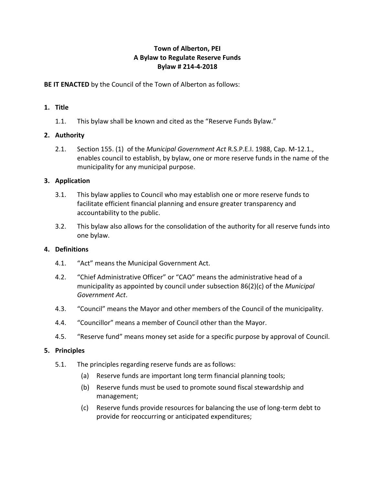## **Town of Alberton, PEI A Bylaw to Regulate Reserve Funds Bylaw # 214-4-2018**

**BE IT ENACTED** by the Council of the Town of Alberton as follows:

## **1. Title**

1.1. This bylaw shall be known and cited as the "Reserve Funds Bylaw."

# **2. Authority**

2.1. Section 155. (1) of the *Municipal Government Act* R.S.P.E.I. 1988, Cap. M-12.1., enables council to establish, by bylaw, one or more reserve funds in the name of the municipality for any municipal purpose.

## **3. Application**

- 3.1. This bylaw applies to Council who may establish one or more reserve funds to facilitate efficient financial planning and ensure greater transparency and accountability to the public.
- 3.2. This bylaw also allows for the consolidation of the authority for all reserve funds into one bylaw.

# **4. Definitions**

- 4.1. "Act" means the Municipal Government Act.
- 4.2. "Chief Administrative Officer" or "CAO" means the administrative head of a municipality as appointed by council under subsection 86(2)(c) of the *Municipal Government Act*.
- 4.3. "Council" means the Mayor and other members of the Council of the municipality.
- 4.4. "Councillor" means a member of Council other than the Mayor.
- 4.5. "Reserve fund" means money set aside for a specific purpose by approval of Council.

### **5. Principles**

- 5.1. The principles regarding reserve funds are as follows:
	- (a) Reserve funds are important long term financial planning tools;
	- (b) Reserve funds must be used to promote sound fiscal stewardship and management;
	- (c) Reserve funds provide resources for balancing the use of long-term debt to provide for reoccurring or anticipated expenditures;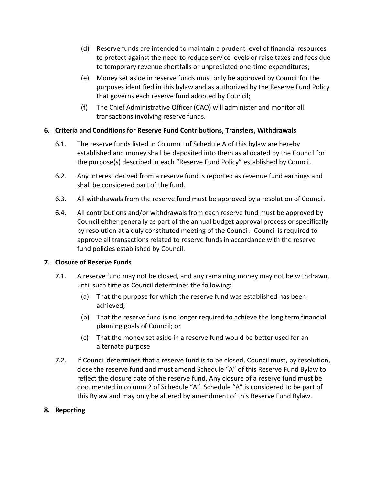- (d) Reserve funds are intended to maintain a prudent level of financial resources to protect against the need to reduce service levels or raise taxes and fees due to temporary revenue shortfalls or unpredicted one-time expenditures;
- (e) Money set aside in reserve funds must only be approved by Council for the purposes identified in this bylaw and as authorized by the Reserve Fund Policy that governs each reserve fund adopted by Council;
- (f) The Chief Administrative Officer (CAO) will administer and monitor all transactions involving reserve funds.

## **6. Criteria and Conditions for Reserve Fund Contributions, Transfers, Withdrawals**

- 6.1. The reserve funds listed in Column I of Schedule A of this bylaw are hereby established and money shall be deposited into them as allocated by the Council for the purpose(s) described in each "Reserve Fund Policy" established by Council.
- 6.2. Any interest derived from a reserve fund is reported as revenue fund earnings and shall be considered part of the fund.
- 6.3. All withdrawals from the reserve fund must be approved by a resolution of Council.
- 6.4. All contributions and/or withdrawals from each reserve fund must be approved by Council either generally as part of the annual budget approval process or specifically by resolution at a duly constituted meeting of the Council. Council is required to approve all transactions related to reserve funds in accordance with the reserve fund policies established by Council.

### **7. Closure of Reserve Funds**

- 7.1. A reserve fund may not be closed, and any remaining money may not be withdrawn, until such time as Council determines the following:
	- (a) That the purpose for which the reserve fund was established has been achieved;
	- (b) That the reserve fund is no longer required to achieve the long term financial planning goals of Council; or
	- (c) That the money set aside in a reserve fund would be better used for an alternate purpose
- 7.2. If Council determines that a reserve fund is to be closed, Council must, by resolution, close the reserve fund and must amend Schedule "A" of this Reserve Fund Bylaw to reflect the closure date of the reserve fund. Any closure of a reserve fund must be documented in column 2 of Schedule "A". Schedule "A" is considered to be part of this Bylaw and may only be altered by amendment of this Reserve Fund Bylaw.

### **8. Reporting**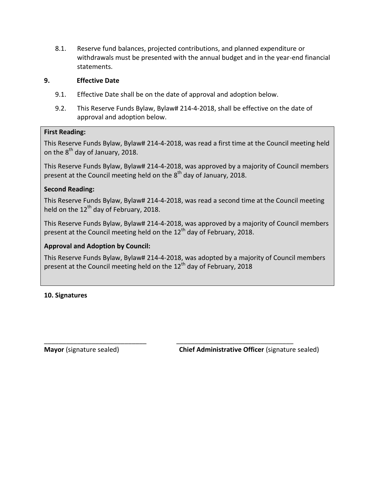8.1. Reserve fund balances, projected contributions, and planned expenditure or withdrawals must be presented with the annual budget and in the year-end financial statements.

#### **9. Effective Date**

- 9.1. Effective Date shall be on the date of approval and adoption below.
- 9.2. This Reserve Funds Bylaw, Bylaw# 214-4-2018, shall be effective on the date of approval and adoption below.

#### **First Reading:**

This Reserve Funds Bylaw, Bylaw# 214-4-2018, was read a first time at the Council meeting held on the 8<sup>th</sup> day of January, 2018.

This Reserve Funds Bylaw, Bylaw# 214-4-2018, was approved by a majority of Council members present at the Council meeting held on the 8<sup>th</sup> day of January, 2018.

### **Second Reading:**

This Reserve Funds Bylaw, Bylaw# 214-4-2018, was read a second time at the Council meeting held on the  $12<sup>th</sup>$  day of February, 2018.

This Reserve Funds Bylaw, Bylaw# 214-4-2018, was approved by a majority of Council members present at the Council meeting held on the 12<sup>th</sup> day of February, 2018.

## **Approval and Adoption by Council:**

This Reserve Funds Bylaw, Bylaw# 214-4-2018, was adopted by a majority of Council members present at the Council meeting held on the  $12<sup>th</sup>$  day of February, 2018

\_\_\_\_\_\_\_\_\_\_\_\_\_\_\_\_\_\_\_\_\_\_\_\_\_\_\_\_ \_\_\_\_\_\_\_\_\_\_\_\_\_\_\_\_\_\_\_\_\_\_\_\_\_\_\_\_\_\_\_\_

### **10. Signatures**

**Mayor** (signature sealed) **Chief Administrative Officer** (signature sealed)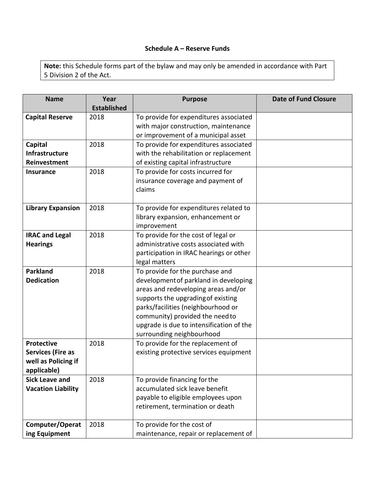## **Schedule A – Reserve Funds**

**Note:** this Schedule forms part of the bylaw and may only be amended in accordance with Part 5 Division 2 of the Act.

| <b>Name</b>               | Year               | <b>Purpose</b>                           | <b>Date of Fund Closure</b> |
|---------------------------|--------------------|------------------------------------------|-----------------------------|
|                           | <b>Established</b> |                                          |                             |
| <b>Capital Reserve</b>    | 2018               | To provide for expenditures associated   |                             |
|                           |                    | with major construction, maintenance     |                             |
|                           |                    | or improvement of a municipal asset      |                             |
| Capital                   | 2018               | To provide for expenditures associated   |                             |
| Infrastructure            |                    | with the rehabilitation or replacement   |                             |
| Reinvestment              |                    | of existing capital infrastructure       |                             |
| <b>Insurance</b>          | 2018               | To provide for costs incurred for        |                             |
|                           |                    | insurance coverage and payment of        |                             |
|                           |                    | claims                                   |                             |
|                           |                    |                                          |                             |
| <b>Library Expansion</b>  | 2018               | To provide for expenditures related to   |                             |
|                           |                    | library expansion, enhancement or        |                             |
|                           |                    | improvement                              |                             |
| <b>IRAC and Legal</b>     | 2018               | To provide for the cost of legal or      |                             |
| <b>Hearings</b>           |                    | administrative costs associated with     |                             |
|                           |                    | participation in IRAC hearings or other  |                             |
|                           |                    | legal matters                            |                             |
| <b>Parkland</b>           | 2018               | To provide for the purchase and          |                             |
| <b>Dedication</b>         |                    | development of parkland in developing    |                             |
|                           |                    | areas and redeveloping areas and/or      |                             |
|                           |                    | supports the upgrading of existing       |                             |
|                           |                    | parks/facilities (neighbourhood or       |                             |
|                           |                    | community) provided the need to          |                             |
|                           |                    | upgrade is due to intensification of the |                             |
|                           |                    | surrounding neighbourhood                |                             |
| <b>Protective</b>         | 2018               | To provide for the replacement of        |                             |
| <b>Services (Fire as</b>  |                    | existing protective services equipment   |                             |
| well as Policing if       |                    |                                          |                             |
| applicable)               |                    |                                          |                             |
| <b>Sick Leave and</b>     | 2018               | To provide financing for the             |                             |
| <b>Vacation Liability</b> |                    | accumulated sick leave benefit           |                             |
|                           |                    | payable to eligible employees upon       |                             |
|                           |                    | retirement, termination or death         |                             |
|                           |                    |                                          |                             |
| Computer/Operat           | 2018               | To provide for the cost of               |                             |
| ing Equipment             |                    | maintenance, repair or replacement of    |                             |